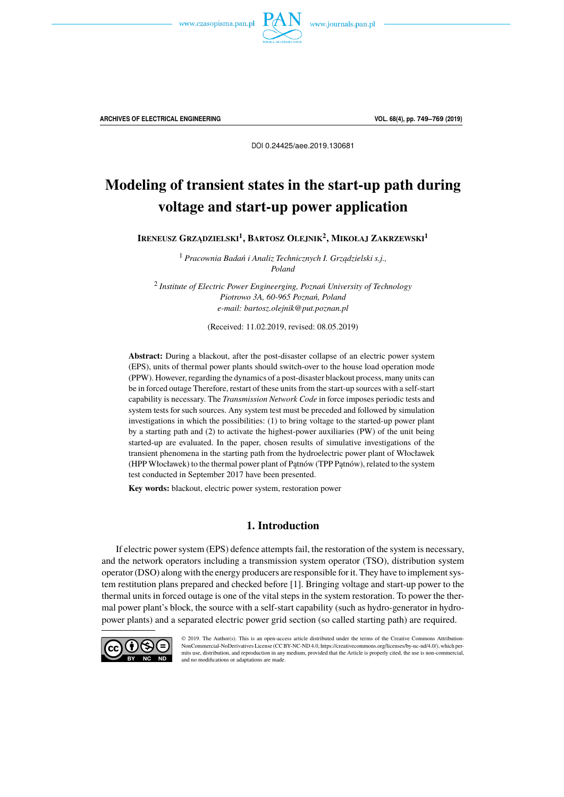



**ARCHIVES OF ELECTRICAL ENGINEERING VOL. 68(4), pp. 749–769 (2019)**

DOI 0.24425/aee.2019.130681

# Modeling of transient states in the start-up path during voltage and start-up power application

**IRENEUSZ GRZ ˛ADZIELSKI<sup>1</sup> , BARTOSZ OLEJNIK<sup>2</sup> , MIKOŁAJ ZAKRZEWSKI<sup>1</sup>**

<sup>1</sup> Pracownia Badań i Analiz Technicznych I. Grządzielski s.j., *Poland*

2 *Institute of Electric Power Engineerging, Poznań University of Technology Piotrowo 3A, 60-965 Poznań, Poland e-mail: bartosz.olejnik@put.poznan.pl*

(Received: 11.02.2019, revised: 08.05.2019)

**Abstract:** During a blackout, after the post-disaster collapse of an electric power system (EPS), units of thermal power plants should switch-over to the house load operation mode (PPW). However, regarding the dynamics of a post-disaster blackout process, many units can be in forced outage Therefore, restart of these units from the start-up sources with a self-start capability is necessary. The *Transmission Network Code* in force imposes periodic tests and system tests for such sources. Any system test must be preceded and followed by simulation investigations in which the possibilities: (1) to bring voltage to the started-up power plant by a starting path and (2) to activate the highest-power auxiliaries (PW) of the unit being started-up are evaluated. In the paper, chosen results of simulative investigations of the transient phenomena in the starting path from the hydroelectric power plant of Włocławek (HPP Włocławek) to the thermal power plant of Patnów (TPP Patnów), related to the system test conducted in September 2017 have been presented.

**Key words:** blackout, electric power system, restoration power

## **1. Introduction**

If electric power system (EPS) defence attempts fail, the restoration of the system is necessary, and the network operators including a transmission system operator (TSO), distribution system operator (DSO) along with the energy producers are responsible for it. They have to implement system restitution plans prepared and checked before [1]. Bringing voltage and start-up power to the thermal units in forced outage is one of the vital steps in the system restoration. To power the thermal power plant's block, the source with a self-start capability (such as hydro-generator in hydropower plants) and a separated electric power grid section (so called starting path) are required.



© 2019. The Author(s). This is an open-access article distributed under the terms of the Creative Commons Attribution-NonCommercial-NoDerivatives License (CC BY-NC-ND 4.0, https://creativecommons.org/licenses/by-nc-nd/4.0/), which permits use, distribution, and reproduction in any medium, provided that the Article is properly cited, the use is non-commercial, and no modifications or adaptations are made.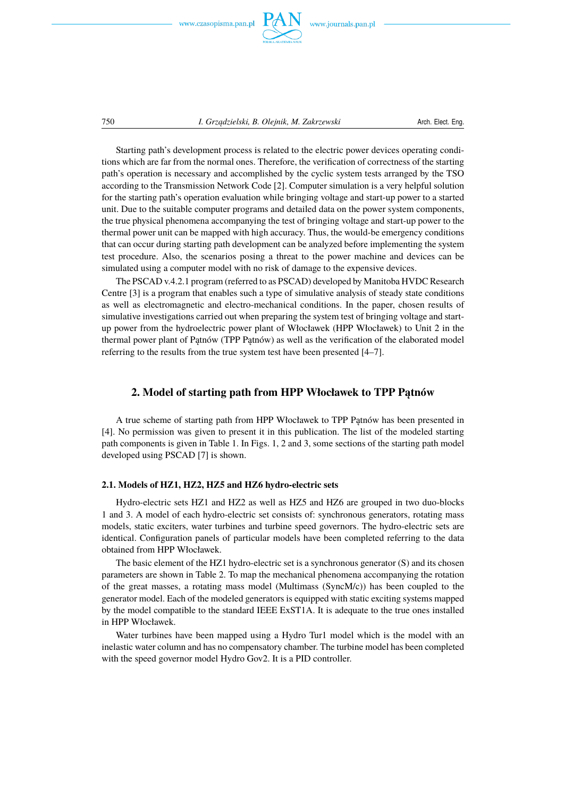

Starting path's development process is related to the electric power devices operating conditions which are far from the normal ones. Therefore, the verification of correctness of the starting path's operation is necessary and accomplished by the cyclic system tests arranged by the TSO according to the Transmission Network Code [2]. Computer simulation is a very helpful solution for the starting path's operation evaluation while bringing voltage and start-up power to a started unit. Due to the suitable computer programs and detailed data on the power system components, the true physical phenomena accompanying the test of bringing voltage and start-up power to the thermal power unit can be mapped with high accuracy. Thus, the would-be emergency conditions that can occur during starting path development can be analyzed before implementing the system test procedure. Also, the scenarios posing a threat to the power machine and devices can be simulated using a computer model with no risk of damage to the expensive devices.

The PSCAD v.4.2.1 program (referred to as PSCAD) developed by Manitoba HVDC Research Centre [3] is a program that enables such a type of simulative analysis of steady state conditions as well as electromagnetic and electro-mechanical conditions. In the paper, chosen results of simulative investigations carried out when preparing the system test of bringing voltage and startup power from the hydroelectric power plant of Włocławek (HPP Włocławek) to Unit 2 in the thermal power plant of Patnów (TPP Patnów) as well as the verification of the elaborated model referring to the results from the true system test have been presented [4–7].

## **2. Model of starting path from HPP Włocławek to TPP Patnów**

A true scheme of starting path from HPP Włocławek to TPP Patnów has been presented in [4]. No permission was given to present it in this publication. The list of the modeled starting path components is given in Table 1. In Figs. 1, 2 and 3, some sections of the starting path model developed using PSCAD [7] is shown.

## **2.1. Models of HZ1, HZ2, HZ5 and HZ6 hydro-electric sets**

Hydro-electric sets HZ1 and HZ2 as well as HZ5 and HZ6 are grouped in two duo-blocks 1 and 3. A model of each hydro-electric set consists of: synchronous generators, rotating mass models, static exciters, water turbines and turbine speed governors. The hydro-electric sets are identical. Configuration panels of particular models have been completed referring to the data obtained from HPP Włocławek.

The basic element of the HZ1 hydro-electric set is a synchronous generator (S) and its chosen parameters are shown in Table 2. To map the mechanical phenomena accompanying the rotation of the great masses, a rotating mass model (Multimass (SyncM/c)) has been coupled to the generator model. Each of the modeled generators is equipped with static exciting systems mapped by the model compatible to the standard IEEE ExST1A. It is adequate to the true ones installed in HPP Włocławek.

Water turbines have been mapped using a Hydro Tur1 model which is the model with an inelastic water column and has no compensatory chamber. The turbine model has been completed with the speed governor model Hydro Gov2. It is a PID controller.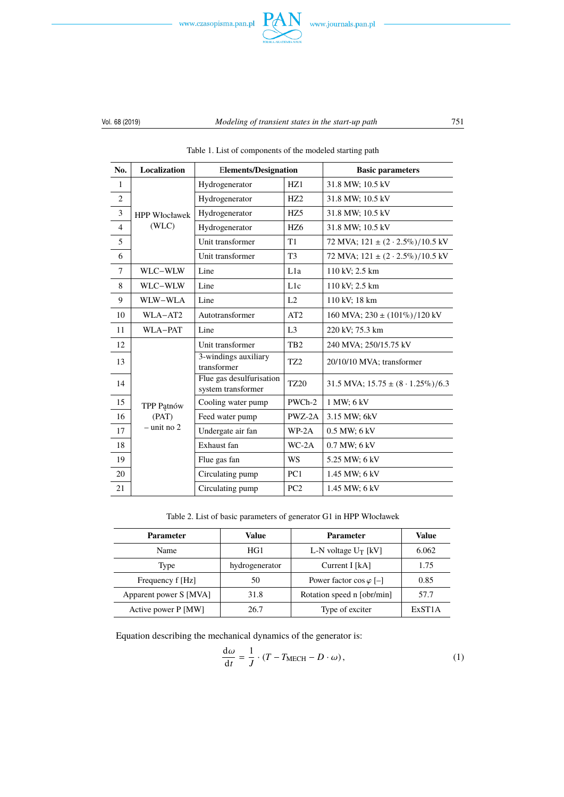



| No.          | <b>Localization</b>  | <b>Elements/Designation</b>                    |                 | <b>Basic parameters</b>                      |
|--------------|----------------------|------------------------------------------------|-----------------|----------------------------------------------|
| $\mathbf{1}$ |                      | Hydrogenerator                                 | HZ1             | 31.8 MW; 10.5 kV                             |
| $\mathbf{2}$ |                      | Hydrogenerator                                 | HZ2             | 31.8 MW; 10.5 kV                             |
| 3            | <b>HPP Włocławek</b> | Hydrogenerator                                 | HZ <sub>5</sub> | 31.8 MW; 10.5 kV                             |
| 4            | (WLC)                | Hydrogenerator                                 | HZ <sub>6</sub> | 31.8 MW; 10.5 kV                             |
| 5            |                      | Unit transformer                               | T1              | 72 MVA; $121 \pm (2 \cdot 2.5\%) / 10.5$ kV  |
| 6            |                      | Unit transformer                               | T <sub>3</sub>  | 72 MVA; $121 \pm (2 \cdot 2.5\%) / 10.5$ kV  |
| $\tau$       | WLC-WLW              | Line                                           | L1a             | 110 kV; 2.5 km                               |
| 8            | WLC-WLW              | Line                                           | L <sub>1c</sub> | 110 kV; 2.5 km                               |
| 9            | WLW-WLA              | Line                                           | L2              | 110 kV; 18 km                                |
| 10           | WLA-AT2              | Autotransformer                                | AT2             | 160 MVA; $230 \pm (101\%) / 120$ kV          |
| 11           | WLA-PAT              | Line                                           | L <sub>3</sub>  | 220 kV; 75.3 km                              |
| 12           |                      | Unit transformer                               | TB <sub>2</sub> | 240 MVA; 250/15.75 kV                        |
| 13           |                      | 3-windings auxiliary<br>transformer            | TZ <sub>2</sub> | 20/10/10 MVA; transformer                    |
| 14           |                      | Flue gas desulfurisation<br>system transformer | <b>TZ20</b>     | 31.5 MVA; $15.75 \pm (8 \cdot 1.25\%) / 6.3$ |
| 15           | TPP Patnów           | Cooling water pump                             | PWCh-2          | 1 MW; 6 kV                                   |
| 16           | (PAT)                | Feed water pump                                | PWZ-2A          | 3.15 MW; 6kV                                 |
| 17           | $-$ unit no 2        | Undergate air fan                              | $WP-2A$         | 0.5 MW; 6 kV                                 |
| 18           |                      | Exhaust fan                                    | $WC-2A$         | 0.7 MW; 6 kV                                 |
| 19           |                      | Flue gas fan                                   | <b>WS</b>       | 5.25 MW; 6 kV                                |
| 20           |                      | Circulating pump                               | PC <sub>1</sub> | 1.45 MW; 6 kV                                |
| 21           |                      | Circulating pump                               | PC <sub>2</sub> | 1.45 MW; 6 kV                                |

Table 1. List of components of the modeled starting path

Table 2. List of basic parameters of generator G1 in HPP Włocławek

| <b>Parameter</b>       | Value          | Parameter                       | Value               |
|------------------------|----------------|---------------------------------|---------------------|
| Name                   | HG1            | L-N voltage $U_T$ [kV]          | 6.062               |
| Type                   | hydrogenerator | Current I [kA]                  | 1.75                |
| Frequency f [Hz]       | 50             | Power factor $\cos \varphi$ [-] | 0.85                |
| Apparent power S [MVA] | 31.8           | Rotation speed n [obr/min]      | 57.7                |
| Active power P [MW]    | 26.7           | Type of exciter                 | ExST <sub>1</sub> A |

Equation describing the mechanical dynamics of the generator is:

$$
\frac{d\omega}{dt} = \frac{1}{J} \cdot (T - T_{\text{MECH}} - D \cdot \omega),\tag{1}
$$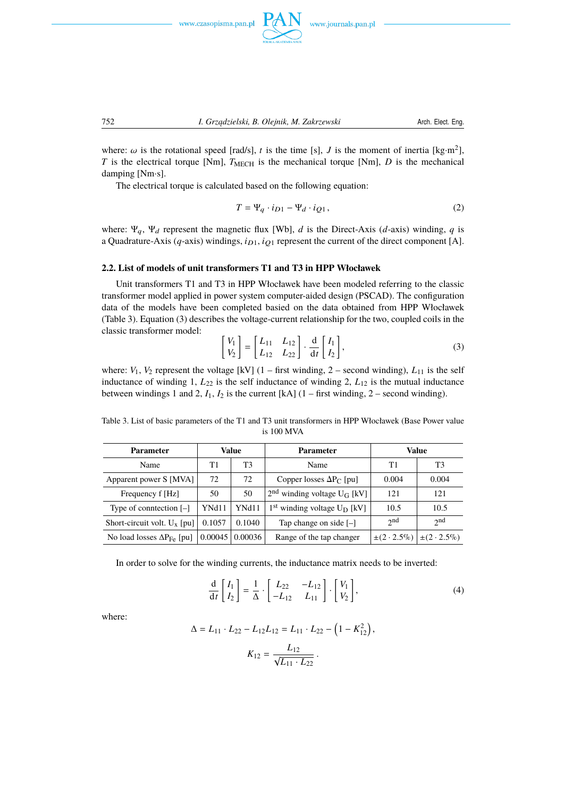



where:  $\omega$  is the rotational speed [rad/s], *t* is the time [s], *J* is the moment of inertia [kg·m<sup>2</sup>],  $T$  is the electrical torque [Nm],  $T_{\text{MECH}}$  is the mechanical torque [Nm],  $D$  is the mechanical damping [Nm·s].

The electrical torque is calculated based on the following equation:

$$
T = \Psi_q \cdot i_{D1} - \Psi_d \cdot i_{Q1},\tag{2}
$$

where:  $\Psi_q$ ,  $\Psi_d$  represent the magnetic flux [Wb], *d* is the Direct-Axis (*d*-axis) winding, *q* is a Quadrature-Axis ( $q$ -axis) windings,  $i_{D1}$ ,  $i_{Q1}$  represent the current of the direct component [A].

#### **2.2. List of models of unit transformers T1 and T3 in HPP Włocławek**

Unit transformers T1 and T3 in HPP Włocławek have been modeled referring to the classic transformer model applied in power system computer-aided design (PSCAD). The configuration data of the models have been completed basied on the data obtained from HPP Włocławek (Table 3). Equation (3) describes the voltage-current relationship for the two, coupled coils in the classic transformer model:

$$
\begin{bmatrix} V_1 \\ V_2 \end{bmatrix} = \begin{bmatrix} L_{11} & L_{12} \\ L_{12} & L_{22} \end{bmatrix} \cdot \frac{d}{dt} \begin{bmatrix} I_1 \\ I_2 \end{bmatrix},
$$
 (3)

where:  $V_1$ ,  $V_2$  represent the voltage [kV] (1 – first winding, 2 – second winding),  $L_{11}$  is the self inductance of winding 1,  $L_{22}$  is the self inductance of winding 2,  $L_{12}$  is the mutual inductance between windings 1 and 2,  $I_1$ ,  $I_2$  is the current [kA]  $(1 - \text{first winding}, 2 - \text{second winding})$ .

Table 3. List of basic parameters of the T1 and T3 unit transformers in HPP Włocławek (Base Power value is 100 MVA

| <b>Parameter</b>                    |         | Value   | <b>Parameter</b>                          |                 | Value           |
|-------------------------------------|---------|---------|-------------------------------------------|-----------------|-----------------|
| Name                                | Τ1      | T3      | Name                                      | T1              | T <sub>3</sub>  |
| Apparent power S [MVA]              | 72      | 72      | Copper losses $\Delta P_C$ [pu]           | 0.004           | 0.004           |
| Frequency f [Hz]                    | 50      | 50      | $2nd$ winding voltage U <sub>G</sub> [kV] | 121             | 121             |
| Type of conntection $[-]$           | YNd11   | YNd11   | $1st$ winding voltage $U_D$ [kV]          | 10.5            | 10.5            |
| Short-circuit volt. $U_x$ [pu]      | 0.1057  | 0.1040  | Tap change on side $[-]$                  | 2 <sub>nd</sub> | 2nd             |
| No load losses $\Delta P_{Fe}$ [pu] | 0.00045 | 0.00036 | Range of the tap changer                  | $\pm (2.5\%)$   | $\pm (2.2.5\%)$ |

In order to solve for the winding currents, the inductance matrix needs to be inverted:

$$
\frac{\mathrm{d}}{\mathrm{d}t} \begin{bmatrix} I_1 \\ I_2 \end{bmatrix} = \frac{1}{\Delta} \cdot \begin{bmatrix} L_{22} & -L_{12} \\ -L_{12} & L_{11} \end{bmatrix} \cdot \begin{bmatrix} V_1 \\ V_2 \end{bmatrix},\tag{4}
$$

where:

$$
\Delta = L_{11} \cdot L_{22} - L_{12}L_{12} = L_{11} \cdot L_{22} - (1 - K_{12}^2),
$$

$$
K_{12} = \frac{L_{12}}{\sqrt{L_{11} \cdot L_{22}}}.
$$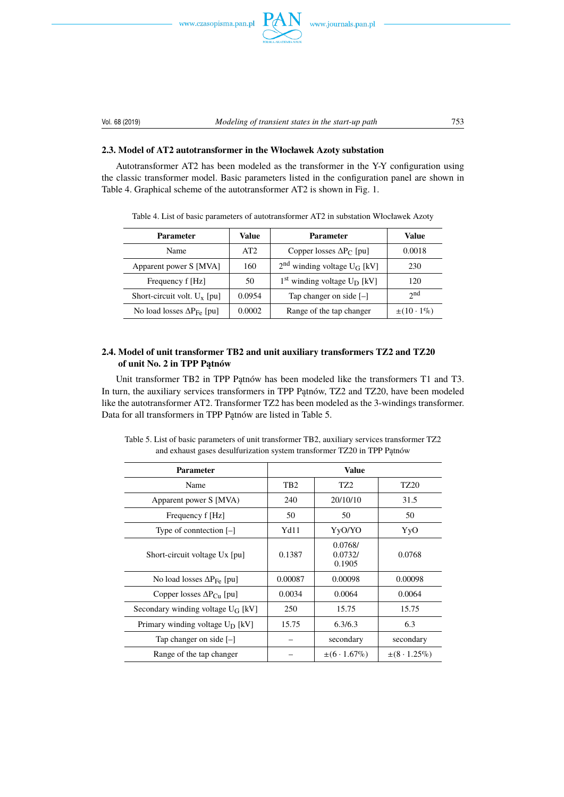





## **2.3. Model of AT2 autotransformer in the Włocławek Azoty substation**

Autotransformer AT2 has been modeled as the transformer in the Y-Y configuration using the classic transformer model. Basic parameters listed in the configuration panel are shown in Table 4. Graphical scheme of the autotransformer AT2 is shown in Fig. 1.

| <b>Parameter</b>                    | Value  | <b>Parameter</b>                          | Value               |
|-------------------------------------|--------|-------------------------------------------|---------------------|
| Name                                | AT2    | Copper losses $\Delta P_C$ [pu]           | 0.0018              |
| Apparent power S [MVA]              | 160    | $2nd$ winding voltage U <sub>G</sub> [kV] | 230                 |
| Frequency f [Hz]                    | 50     | $1st$ winding voltage $U_D$ [kV]          | 120                 |
| Short-circuit volt. $U_x$ [pu]      | 0.0954 | Tap changer on side $[-]$                 | 2 <sub>nd</sub>     |
| No load losses $\Delta P_{Fe}$ [pu] | 0.0002 | Range of the tap changer                  | $\pm(10 \cdot 1\%)$ |

Table 4. List of basic parameters of autotransformer AT2 in substation Włocławek Azoty

## **2.4. Model of unit transformer TB2 and unit auxiliary transformers TZ2 and TZ20** of unit No. 2 in TPP Patnów

Unit transformer TB2 in TPP Patnów has been modeled like the transformers T1 and T3. In turn, the auxiliary services transformers in TPP Patnów, TZ2 and TZ20, have been modeled like the autotransformer AT2. Transformer TZ2 has been modeled as the 3-windings transformer. Data for all transformers in TPP Patnów are listed in Table 5.

| <b>Parameter</b>                     |                 | <b>Value</b>                 |                  |
|--------------------------------------|-----------------|------------------------------|------------------|
| Name                                 | TB <sub>2</sub> | TZ <sub>2</sub>              | TZ <sub>20</sub> |
| Apparent power S [MVA)               | 240             | 20/10/10                     | 31.5             |
| Frequency f [Hz]                     | 50              | 50                           | 50               |
| Type of conntection $[-]$            | Yd11            | YyO/YO                       | YyO              |
| Short-circuit voltage Ux [pu]        | 0.1387          | 0.0768/<br>0.0732/<br>0.1905 | 0.0768           |
| No load losses $\Delta P_{Fe}$ [pu]  | 0.00087         | 0.00098                      | 0.00098          |
| Copper losses $\Delta P_{Cu}$ [pu]   | 0.0034          | 0.0064                       | 0.0064           |
| Secondary winding voltage $U_G$ [kV] | 250             | 15.75                        | 15.75            |
| Primary winding voltage $U_D$ [kV]   | 15.75           | 6.3/6.3                      | 6.3              |
| Tap changer on side $[-]$            |                 | secondary                    | secondary        |
| Range of the tap changer             |                 | $\pm (6 \cdot 1.67\%)$       | $\pm (8.1.25\%)$ |

Table 5. List of basic parameters of unit transformer TB2, auxiliary services transformer TZ2 and exhaust gases desulfurization system transformer TZ20 in TPP Patnów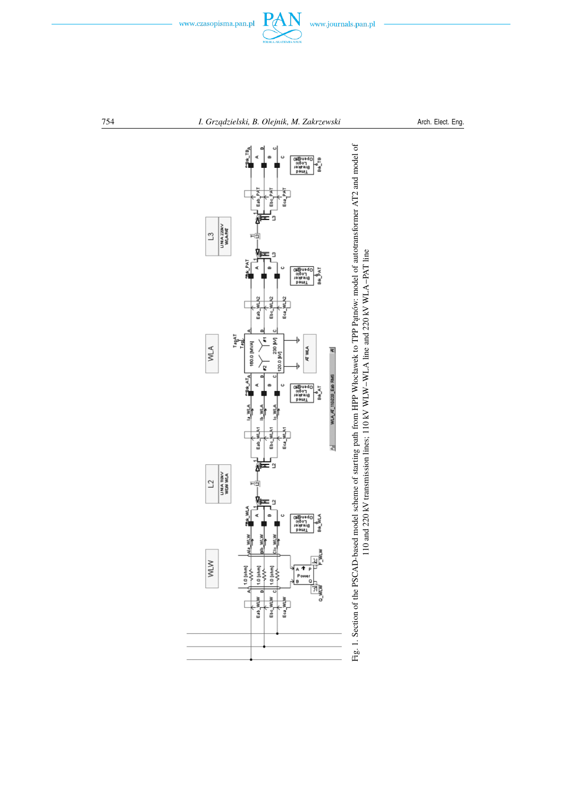

www.journals.pan.pl

754 *I. Grz ˛adzielski, B. Olejnik, M. Zakrzewski* Arch. Elect. Eng.



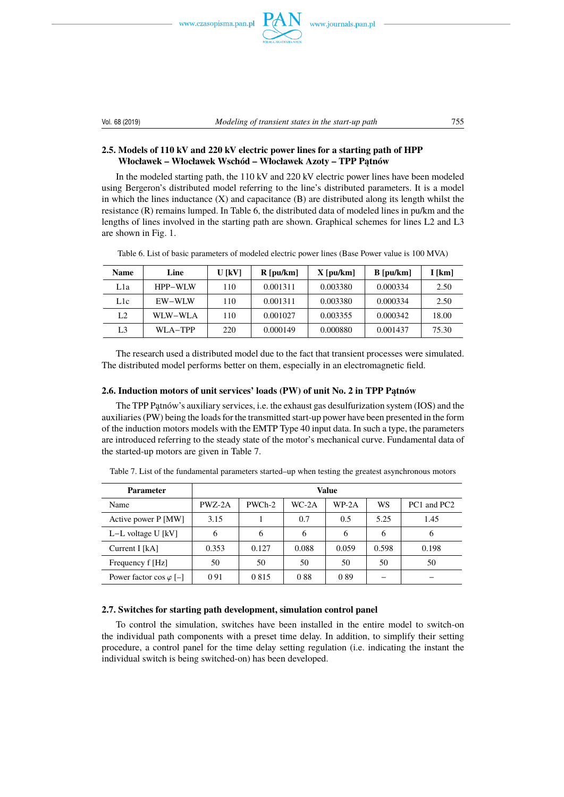





## **2.5. Models of 110 kV and 220 kV electric power lines for a starting path of HPP** Włocławek – Włocławek Wschód – Włocławek Azoty – TPP Patnów

In the modeled starting path, the 110 kV and 220 kV electric power lines have been modeled using Bergeron's distributed model referring to the line's distributed parameters. It is a model in which the lines inductance  $(X)$  and capacitance  $(B)$  are distributed along its length whilst the resistance (R) remains lumped. In Table 6, the distributed data of modeled lines in pu/km and the lengths of lines involved in the starting path are shown. Graphical schemes for lines L2 and L3 are shown in Fig. 1.

| <b>Name</b>    | Line    | U [kV] | $R$ [pu/km] | $X$ [pu/km] | $B$ [pu/km] | $I$ [km] |
|----------------|---------|--------|-------------|-------------|-------------|----------|
| Lla            | HPP-WLW | 110    | 0.001311    | 0.003380    | 0.000334    | 2.50     |
| L1c            | EW-WLW  | 110    | 0.001311    | 0.003380    | 0.000334    | 2.50     |
| L <sub>2</sub> | WLW-WLA | 110    | 0.001027    | 0.003355    | 0.000342    | 18.00    |
| L <sub>3</sub> | WLA-TPP | 220    | 0.000149    | 0.000880    | 0.001437    | 75.30    |

Table 6. List of basic parameters of modeled electric power lines (Base Power value is 100 MVA)

The research used a distributed model due to the fact that transient processes were simulated. The distributed model performs better on them, especially in an electromagnetic field.

## 2.6. Induction motors of unit services' loads (PW) of unit No. 2 in TPP Patnów

The TPP Patnów's auxiliary services, i.e. the exhaust gas desulfurization system (IOS) and the auxiliaries (PW) being the loads for the transmitted start-up power have been presented in the form of the induction motors models with the EMTP Type 40 input data. In such a type, the parameters are introduced referring to the steady state of the motor's mechanical curve. Fundamental data of the started-up motors are given in Table 7.

| <b>Parameter</b>                |        |         |       | Value   |       |             |
|---------------------------------|--------|---------|-------|---------|-------|-------------|
| Name                            | PWZ-2A | PWCh-2  | WC-2A | $WP-2A$ | WS    | PC1 and PC2 |
| Active power P [MW]             | 3.15   |         | 0.7   | 0.5     | 5.25  | 1.45        |
| $L-L$ voltage U [kV]            | 6      | 6       | 6     | 6       | 6     | 6           |
| Current I [kA]                  | 0.353  | 0.127   | 0.088 | 0.059   | 0.598 | 0.198       |
| Frequency f [Hz]                | 50     | 50      | 50    | 50      | 50    | 50          |
| Power factor $\cos \varphi$ [-] | 091    | 0 8 1 5 | 088   | 089     |       |             |

Table 7. List of the fundamental parameters started–up when testing the greatest asynchronous motors

## **2.7. Switches for starting path development, simulation control panel**

To control the simulation, switches have been installed in the entire model to switch-on the individual path components with a preset time delay. In addition, to simplify their setting procedure, a control panel for the time delay setting regulation (i.e. indicating the instant the individual switch is being switched-on) has been developed.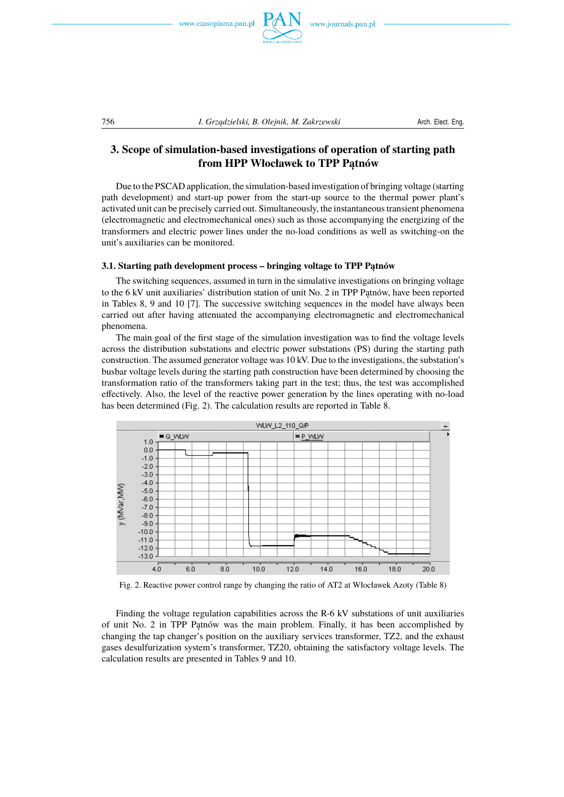



## **3. Scope of simulation-based investigations of operation of starting path from HPP Włocławek to TPP Patnów**

Due to the PSCAD application, the simulation-based investigation of bringing voltage (starting path development) and start-up power from the start-up source to the thermal power plant's activated unit can be precisely carried out. Simultaneously, the instantaneous transient phenomena (electromagnetic and electromechanical ones) such as those accompanying the energizing of the transformers and electric power lines under the no-load conditions as well as switching-on the unit's auxiliaries can be monitored.

#### **3.1. Starting path development process – bringing voltage to TPP Patnów**

The switching sequences, assumed in turn in the simulative investigations on bringing voltage to the  $6 \text{ kV}$  unit auxiliaries' distribution station of unit No. 2 in TPP Patnów, have been reported in Tables 8, 9 and 10 [7]. The successive switching sequences in the model have always been carried out after having attenuated the accompanying electromagnetic and electromechanical phenomena.

The main goal of the first stage of the simulation investigation was to find the voltage levels across the distribution substations and electric power substations (PS) during the starting path construction. The assumed generator voltage was 10 kV. Due to the investigations, the substation's busbar voltage levels during the starting path construction have been determined by choosing the transformation ratio of the transformers taking part in the test; thus, the test was accomplished effectively. Also, the level of the reactive power generation by the lines operating with no-load has been determined (Fig. 2). The calculation results are reported in Table 8.



Fig. 2. Reactive power control range by changing the ratio of AT2 at Włocławek Azoty (Table 8)

Finding the voltage regulation capabilities across the R-6 kV substations of unit auxiliaries of unit No. 2 in TPP Patnów was the main problem. Finally, it has been accomplished by changing the tap changer's position on the auxiliary services transformer, TZ2, and the exhaust gases desulfurization system's transformer, TZ20, obtaining the satisfactory voltage levels. The calculation results are presented in Tables 9 and 10.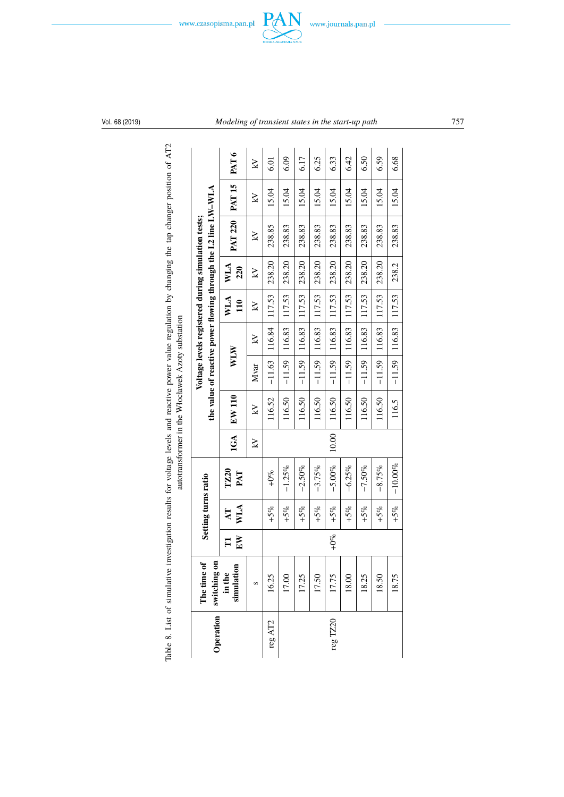



| Table 8. List of simulative |                                         |                     |                     | investigation results for voltage levels and reactive power value regulation by changing the tap changer position of AT2 |       | autotransformer in the Włocławek Azoty substation |          |                            |            |            |                                                                                                                      |                   |                  |
|-----------------------------|-----------------------------------------|---------------------|---------------------|--------------------------------------------------------------------------------------------------------------------------|-------|---------------------------------------------------|----------|----------------------------|------------|------------|----------------------------------------------------------------------------------------------------------------------|-------------------|------------------|
|                             | Operation   switching on<br>The time of |                     | Setting turns ratio |                                                                                                                          |       |                                                   |          |                            |            |            | the value of reactive power flowing through the L2 line LW-WLA<br>Voltage levels registered during simulation tests; |                   |                  |
|                             | simulation<br>in the                    | E <sub>N</sub><br>E | WLA<br>Ę            | TZ20<br>PAT                                                                                                              | 1GA   | EW 110                                            | WIW      |                            | WLA<br>110 | WLA<br>220 | <b>PAT 220</b>                                                                                                       | PAT <sub>15</sub> | PAT <sub>6</sub> |
|                             | S                                       |                     |                     |                                                                                                                          | Ŋ     | Ŋ                                                 | Mvar     | Ŋ                          | Ķ          | K          | Ŋ                                                                                                                    | Ŋ                 | Ŋ                |
| reg $\mathrm{AT2}$          | 16.25                                   |                     | $+5%$               | $+0%$                                                                                                                    |       | 116.52                                            | $-11.63$ | 116.84                     | 117.53     | 238.20     | 238.85                                                                                                               | 15.04             | 5<br>5           |
|                             | 17.00                                   |                     | $+5%$               | $-1.25%$                                                                                                                 |       | 116.50                                            | $-11.59$ | 116.83                     | 117.53     | 238.20     | 238.83                                                                                                               | 15.04             | 6.09             |
|                             | 17.25                                   |                     | $+5%$               | $-2.50%$                                                                                                                 |       | 116.50                                            | $-11.59$ | 116.83                     | 117.53     | 238.20     | 238.83                                                                                                               | 15.04             | 6.17             |
|                             | 17.50                                   |                     | $+5%$               | $-3.75%$                                                                                                                 |       | 116.50                                            | $-11.59$ | 116.83                     | 117.53     | 238.20     | 238.83                                                                                                               | 15.04             | 6.25             |
| reg TZ20                    | 17.75                                   | $+0%$               | $+5%$               | $-5.00%$                                                                                                                 | 10.00 | 116.50                                            | $-11.59$ | 116.83                     | 117.53     | 238.20     | 238.83                                                                                                               | 15.04             | 6.33             |
|                             | 18.00                                   |                     | $+5%$               | $-6.25%$                                                                                                                 |       | 116.50                                            | $-11.59$ | 116.83                     | 117.53     | 238.20     | 238.83                                                                                                               | 15.04             | 6.42             |
|                             | 18.25                                   |                     | $+5%$               | $-7.50%$                                                                                                                 |       | 116.50                                            | $-11.59$ | 116.83                     | 117.53     | 238.20     | 238.83                                                                                                               | 15.04             | 6.50             |
|                             | 18.50                                   |                     | $+5%$               | $-8.75%$                                                                                                                 |       | 116.50                                            | $-11.59$ | 116.83                     | 117.53     | 238.20     | 238.83                                                                                                               | 15.04             | 6.59             |
|                             | 18.75                                   |                     | $+5%$               | $-10.00%$                                                                                                                |       | 116.5                                             |          | $-11.59$   116.83   117.53 |            | 238.2      | 238.83                                                                                                               | 15.04             | 6.68             |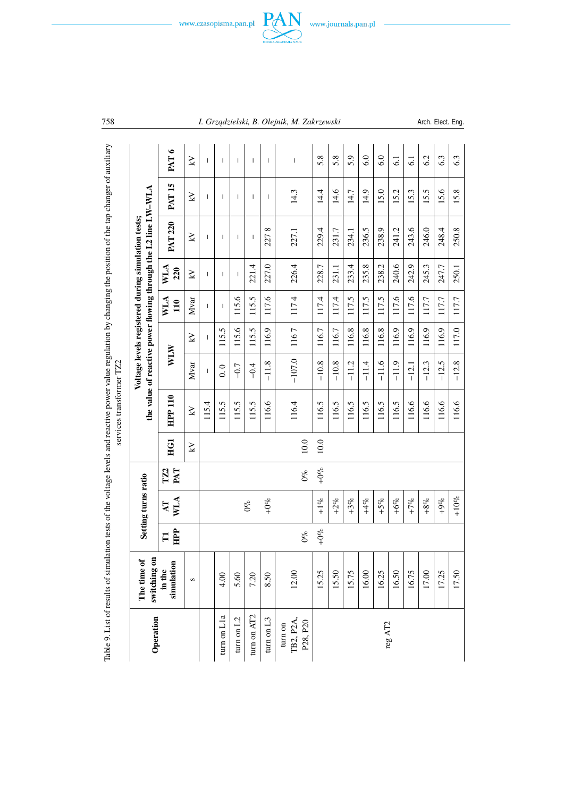



| Operation             | switching on<br>The time of |                     | Setting turns ratio     |                        |      |                |          |       |                          |                          | the value of reactive power flowing through the L2 line LW-WLA<br>Voltage levels registered during simulation tests; |                          |                          |
|-----------------------|-----------------------------|---------------------|-------------------------|------------------------|------|----------------|----------|-------|--------------------------|--------------------------|----------------------------------------------------------------------------------------------------------------------|--------------------------|--------------------------|
|                       | simulation<br>in the        | HPP<br>$\mathbf{H}$ | <b>WLA</b><br><b>AT</b> | TZ <sub>2</sub><br>PAT | EGI  | <b>HPP 110</b> | WLW      |       | <b>WLA</b><br>110        | WLA<br>220               | <b>PAT 220</b>                                                                                                       | <b>PAT 15</b>            | PAT <sub>6</sub>         |
|                       | $\pmb{\circ}$               |                     |                         |                        | ΚĀ   | K              | Mvar     | Ķ     | Mvar                     | Ķ                        | Ķ                                                                                                                    | Ķ                        | K                        |
|                       |                             |                     |                         |                        |      | 115.4          | ı        |       | ı                        | I                        | ı                                                                                                                    | ı                        | I                        |
| turn on Lla           | 4.00                        |                     |                         |                        |      | 115.5          | 0.0      | 115.5 | $\overline{\phantom{a}}$ | $\overline{\phantom{a}}$ | $\overline{\phantom{a}}$                                                                                             | $\overline{\phantom{a}}$ | $\overline{\phantom{a}}$ |
| turn on $L2$          | 5.60                        |                     |                         |                        |      | 115.5          | $-0.7$   | 115.6 | 115.6                    | 1                        | 1                                                                                                                    | 1                        | I                        |
| turn on AT2           | 7.20                        |                     | $0\%$                   |                        |      | 115.5          | $-0.4$   | 115.5 | 115.5                    | 221.4                    | I                                                                                                                    | I                        | I                        |
| turn on L3            | 8.50                        |                     | $+0%$                   |                        |      | 116.6          | $-11.8$  | 116.9 | 117.6                    | 227.0                    | $\infty$<br>227                                                                                                      | Т                        | $\overline{\phantom{a}}$ |
| turn on               |                             |                     |                         |                        |      |                |          |       |                          |                          |                                                                                                                      |                          |                          |
| TB2, P2A,<br>P28, P20 | 12.00                       | 0%                  |                         | $0\%$                  | 10.0 | 116.4          | $-107.0$ | 1167  | 1174                     | 226.4                    | 227.1                                                                                                                | 14.3                     | I                        |
|                       | 15.25                       | $+0%$               | $+1\%$                  | $+0%$                  | 10.0 | 116.5          | $-10.8$  | 116.7 | 117.4                    | 228.7                    | 229.4                                                                                                                | 14.4                     | 5.8                      |
|                       | 15.50                       |                     | $+2%$                   |                        |      | 116.5          | $-10.8$  | 116.7 | 117.4                    | 231.1                    | 231.7                                                                                                                | 14.6                     | 5.8                      |
|                       | 15.75                       |                     | $+3%$                   |                        |      | 116.5          | $-11.2$  | 116.8 | 117.5                    | 233.4                    | 234.1                                                                                                                | 14.7                     | 5.9                      |
|                       | 16.00                       |                     | $+4%$                   |                        |      | 116.5          | $-11.4$  | 116.8 | 117.5                    | 235.8                    | 236.5                                                                                                                | 14.9                     | 6.0                      |
| reg $\mathrm{AT2}$    | 16.25                       |                     | $+5%$                   |                        |      | 116.5          | $-11.6$  | 116.8 | 117.5                    | 238.2                    | 238.9                                                                                                                | 15.0                     | 6.0                      |
|                       | 16.50                       |                     | $+6%$                   |                        |      | 116.5          | $-11.9$  | 116.9 | 117.6                    | 240.6                    | 241.2                                                                                                                | 15.2                     | $\overline{61}$          |
|                       | 16.75                       |                     | $+7%$                   |                        |      | 116.6          | $-12.1$  | 116.9 | 117.6                    | 242.9                    | 243.6                                                                                                                | 15.3                     | $\overline{61}$          |
|                       | 17.00                       |                     | $+8%$                   |                        |      | 116.6          | $-12.3$  | 116.9 | 117.7                    | 245.3                    | 246.0                                                                                                                | 15.5                     | 6.2                      |
|                       | 17.25                       |                     | $+9%$                   |                        |      | 116.6          | $-12.5$  | 116.9 | 117.7                    | 247.7                    | 248.4                                                                                                                | 15.6                     | 6.3                      |
|                       | 17.50                       |                     | $+10%$                  |                        |      | 116.6          | $-12.8$  | 117.0 | 117.7                    | 250.1                    | 250.8                                                                                                                | 15.8                     | 6.3                      |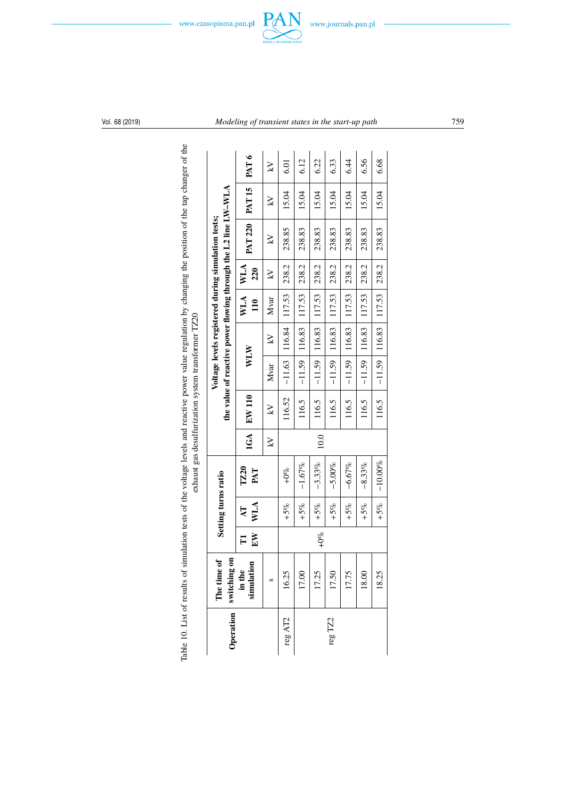



| Operation   switching | $\overline{\mathbf{e}}$<br>ಕ<br>The time |                  | Setting turns ratio |             |      |                   |          |        |                   |            | the value of reactive power flowing through the L2 line LW-WLA<br>Voltage levels registered during simulation tests; |                |        |
|-----------------------|------------------------------------------|------------------|---------------------|-------------|------|-------------------|----------|--------|-------------------|------------|----------------------------------------------------------------------------------------------------------------------|----------------|--------|
|                       | simulation<br>in the                     | $_{\rm EW}$<br>E | WLA<br>Ę            | TZ20<br>PAT |      | <b>IGA EW 110</b> | WLW      |        | WLA<br>110        | WLA<br>220 | <b>PAT 220</b>                                                                                                       | $ $ PAT 15 $ $ | PAT6   |
|                       | S                                        |                  |                     |             | Ņ    | $\geq$            | Mvar     | $\geq$ | Mvar              | $\geq$     | $\geq$                                                                                                               | $\geq$         | $\geq$ |
| reg $\mathrm{AT2}$    | 16.25                                    |                  | $+5%$               | $+0%$       |      | 116.52            | $-11.63$ | 116.84 | 117.53            | 238.2      | 238.85                                                                                                               | 15.04          | 5.01   |
|                       | 17.00                                    |                  | $+5%$               | $-1.67%$    |      | 116.5             | $-11.59$ | 116.83 | 117.53            | 238.2      | 238.83                                                                                                               | 15.04          | 6.12   |
|                       | 17.25                                    | $+0\%$           | $+5%$               | $-3.33%$    | 10.0 | 116.5             | $-11.59$ | 116.83 | 117.53            | 238.2      | 238.83                                                                                                               | 15.04          | 6.22   |
| reg TZ2               | 17.50                                    |                  | $+5%$               | $-5.00%$    |      | 116.5             | $-11.59$ | 116.83 | 117.53            | 238.2      | 238.83                                                                                                               | 15.04          | 6.33   |
|                       | 17.75                                    |                  | $+5%$               | $-6.67%$    |      | 116.5             | $-11.59$ |        | 116.83 117.53     | 238.2      | 238.83                                                                                                               | 15.04          | 6.44   |
|                       | 18.00                                    |                  | $+5%$               | $-8.33%$    |      | 116.5             | $-11.59$ |        | $116.83$   117.53 | 238.2      | 238.83                                                                                                               | 15.04          | 6.56   |
|                       | 18.25                                    |                  | $+5%$               | $-10.00%$   |      | 116.5             | $-11.59$ | 116.83 | 117.53            | 238.2      | 238.83                                                                                                               | 15.04          | 6.68   |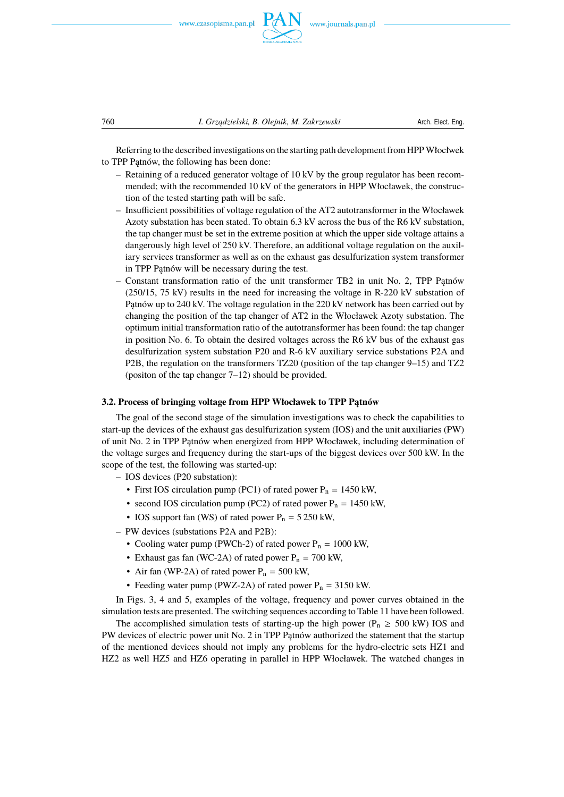



Referring to the described investigations on the starting path development from HPPWłocłwek to TPP Patnów, the following has been done:

- Retaining of a reduced generator voltage of 10 kV by the group regulator has been recommended; with the recommended 10 kV of the generators in HPP Włocławek, the construction of the tested starting path will be safe.
- Insufficient possibilities of voltage regulation of the AT2 autotransformer in the Włocławek Azoty substation has been stated. To obtain 6.3 kV across the bus of the R6 kV substation, the tap changer must be set in the extreme position at which the upper side voltage attains a dangerously high level of 250 kV. Therefore, an additional voltage regulation on the auxiliary services transformer as well as on the exhaust gas desulfurization system transformer in TPP Patnów will be necessary during the test.
- Constant transformation ratio of the unit transformer TB2 in unit No. 2, TPP Patnów (250/15, 75 kV) results in the need for increasing the voltage in R-220 kV substation of Patnów up to 240 kV. The voltage regulation in the 220 kV network has been carried out by changing the position of the tap changer of AT2 in the Włocławek Azoty substation. The optimum initial transformation ratio of the autotransformer has been found: the tap changer in position No. 6. To obtain the desired voltages across the R6 kV bus of the exhaust gas desulfurization system substation P20 and R-6 kV auxiliary service substations P2A and P2B, the regulation on the transformers TZ20 (position of the tap changer 9–15) and TZ2 (positon of the tap changer 7–12) should be provided.

#### **3.2. Process of bringing voltage from HPP Włocławek to TPP Patnów**

The goal of the second stage of the simulation investigations was to check the capabilities to start-up the devices of the exhaust gas desulfurization system (IOS) and the unit auxiliaries (PW) of unit No. 2 in TPP Patnów when energized from HPP Włocławek, including determination of the voltage surges and frequency during the start-ups of the biggest devices over 500 kW. In the scope of the test, the following was started-up:

- IOS devices (P20 substation):
	- First IOS circulation pump (PC1) of rated power  $P_n = 1450$  kW,
	- second IOS circulation pump (PC2) of rated power  $P_n = 1450$  kW,
	- IOS support fan (WS) of rated power  $P_n = 5250$  kW,
- PW devices (substations P2A and P2B):
	- Cooling water pump (PWCh-2) of rated power  $P_n = 1000$  kW,
	- Exhaust gas fan (WC-2A) of rated power  $P_n = 700$  kW,
	- Air fan (WP-2A) of rated power  $P_n = 500$  kW,
	- Feeding water pump (PWZ-2A) of rated power  $P_n = 3150$  kW.

In Figs. 3, 4 and 5, examples of the voltage, frequency and power curves obtained in the simulation tests are presented. The switching sequences according to Table 11 have been followed.

The accomplished simulation tests of starting-up the high power ( $P_n \ge 500$  kW) IOS and PW devices of electric power unit No. 2 in TPP Patnów authorized the statement that the startup of the mentioned devices should not imply any problems for the hydro-electric sets HZ1 and HZ2 as well HZ5 and HZ6 operating in parallel in HPP Włocławek. The watched changes in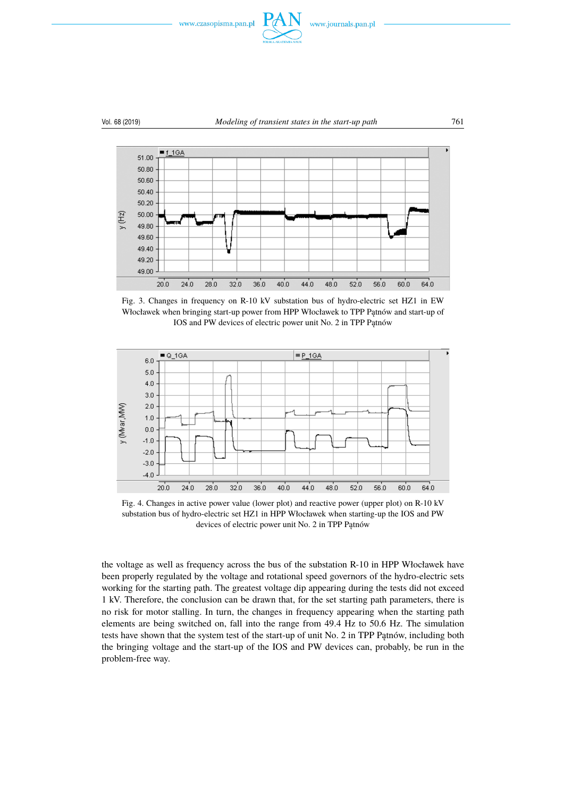



Fig. 3. Changes in frequency on R-10 kV substation bus of hydro-electric set HZ1 in EW Włocławek when bringing start-up power from HPP Włocławek to TPP Patnów and start-up of IOS and PW devices of electric power unit No. 2 in TPP Patnów



Fig. 4. Changes in active power value (lower plot) and reactive power (upper plot) on R-10 kV substation bus of hydro-electric set HZ1 in HPP Włocławek when starting-up the IOS and PW devices of electric power unit No. 2 in TPP Patnów

the voltage as well as frequency across the bus of the substation R-10 in HPP Włocławek have been properly regulated by the voltage and rotational speed governors of the hydro-electric sets working for the starting path. The greatest voltage dip appearing during the tests did not exceed 1 kV. Therefore, the conclusion can be drawn that, for the set starting path parameters, there is no risk for motor stalling. In turn, the changes in frequency appearing when the starting path elements are being switched on, fall into the range from 49.4 Hz to 50.6 Hz. The simulation tests have shown that the system test of the start-up of unit No. 2 in TPP Patnów, including both the bringing voltage and the start-up of the IOS and PW devices can, probably, be run in the problem-free way.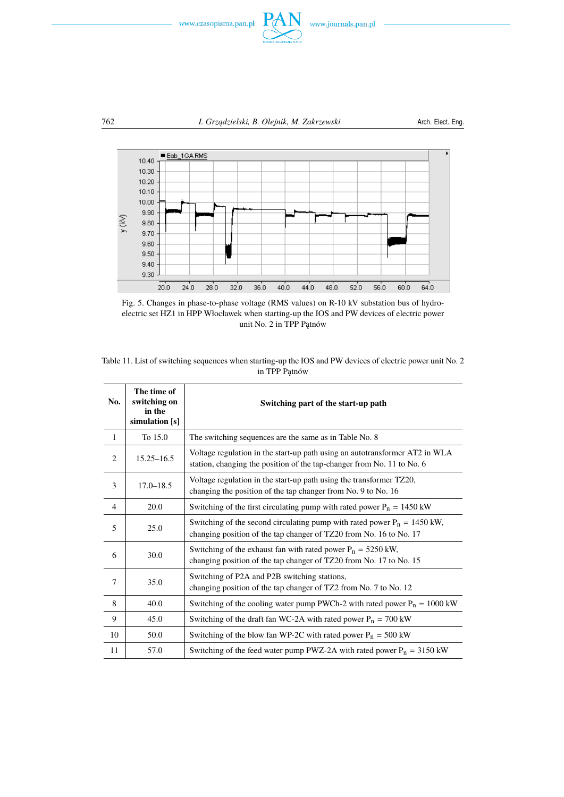





Fig. 5. Changes in phase-to-phase voltage (RMS values) on R-10 kV substation bus of hydroelectric set HZ1 in HPP Włocławek when starting-up the IOS and PW devices of electric power unit No. 2 in TPP Pątnów

| Table 11. List of switching sequences when starting-up the IOS and PW devices of electric power unit No. 2 |  |
|------------------------------------------------------------------------------------------------------------|--|
| in TPP Patnów                                                                                              |  |

| No.            | The time of<br>switching on<br>in the<br>simulation [s] | Switching part of the start-up path                                                                                                                   |
|----------------|---------------------------------------------------------|-------------------------------------------------------------------------------------------------------------------------------------------------------|
| 1              | To 15.0                                                 | The switching sequences are the same as in Table No. 8                                                                                                |
| $\overline{2}$ | $15.25 - 16.5$                                          | Voltage regulation in the start-up path using an autotransformer AT2 in WLA<br>station, changing the position of the tap-changer from No. 11 to No. 6 |
| 3              | $17.0 - 18.5$                                           | Voltage regulation in the start-up path using the transformer TZ20,<br>changing the position of the tap changer from No. 9 to No. 16                  |
| $\overline{4}$ | 20.0                                                    | Switching of the first circulating pump with rated power $P_n = 1450$ kW                                                                              |
| 5              | 25.0                                                    | Switching of the second circulating pump with rated power $P_n = 1450$ kW,<br>changing position of the tap changer of TZ20 from No. 16 to No. 17      |
| 6              | 30.0                                                    | Switching of the exhaust fan with rated power $P_n = 5250$ kW,<br>changing position of the tap changer of TZ20 from No. 17 to No. 15                  |
| $\tau$         | 35.0                                                    | Switching of P2A and P2B switching stations,<br>changing position of the tap changer of TZ2 from No. 7 to No. 12                                      |
| 8              | 40.0                                                    | Switching of the cooling water pump PWCh-2 with rated power $P_n = 1000$ kW                                                                           |
| 9              | 45.0                                                    | Switching of the draft fan WC-2A with rated power $P_n = 700$ kW                                                                                      |
| 10             | 50.0                                                    | Switching of the blow fan WP-2C with rated power $P_n = 500$ kW                                                                                       |
| 11             | 57.0                                                    | Switching of the feed water pump PWZ-2A with rated power $P_n = 3150$ kW                                                                              |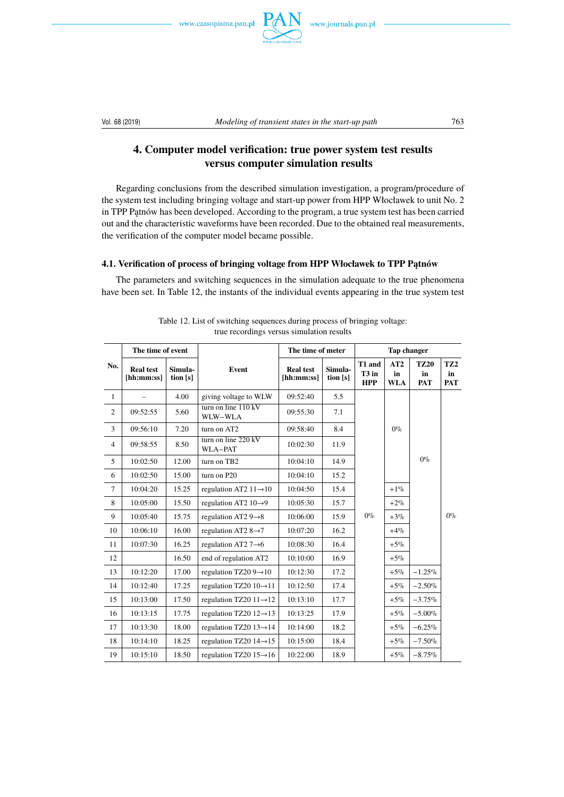www.czasopisma.pan.pl



## **4. Computer model verification: true power system test results versus computer simulation results**

Regarding conclusions from the described simulation investigation, a program/procedure of the system test including bringing voltage and start-up power from HPP Włocławek to unit No. 2 in TPP Patnów has been developed. According to the program, a true system test has been carried out and the characteristic waveforms have been recorded. Due to the obtained real measurements, the verification of the computer model became possible.

## **4.1. Verification of process of bringing voltage from HPP Włocławek to TPP Pątnów**

The parameters and switching sequences in the simulation adequate to the true phenomena have been set. In Table 12, the instants of the individual events appearing in the true system test

| No.            | The time of event              |                     |                                          | The time of meter              |                     | <b>Tap changer</b>              |                         |                                 |                                     |
|----------------|--------------------------------|---------------------|------------------------------------------|--------------------------------|---------------------|---------------------------------|-------------------------|---------------------------------|-------------------------------------|
|                | <b>Real test</b><br>[hh:mm:ss] | Simula-<br>tion [s] | Event                                    | <b>Real test</b><br>[hh:mm:ss] | Simula-<br>tion [s] | T1 and<br>$T3$ in<br><b>HPP</b> | AT2<br>in<br><b>WLA</b> | <b>TZ20</b><br>in<br><b>PAT</b> | TZ <sub>2</sub><br>in<br><b>PAT</b> |
| $\mathbf{1}$   |                                | 4.00                | giving voltage to WLW                    | 09:52:40                       | 5.5                 |                                 |                         |                                 |                                     |
| $\overline{c}$ | 09:52:55                       | 5.60                | turn on line $110 \text{ kV}$<br>WLW-WLA | 09:55:30                       | 7.1                 |                                 |                         |                                 |                                     |
| 3              | 09:56:10                       | 7.20                | turn on AT2                              | 09:58:40                       | 8.4                 |                                 | $0\%$                   |                                 |                                     |
| $\overline{4}$ | 09:58:55                       | 8.50                | turn on line $220 \text{ kV}$<br>WLA-PAT | 10:02:30                       | 11.9                |                                 |                         |                                 |                                     |
| 5              | 10:02:50                       | 12.00               | turn on TB2                              | 10:04:10                       | 14.9                |                                 |                         | $0\%$                           |                                     |
| 6              | 10:02:50                       | 15.00               | turn on P20                              | 10:04:10                       | 15.2                |                                 |                         |                                 |                                     |
| $\tau$         | 10:04:20                       | 15.25               | regulation AT2 $11 \rightarrow 10$       | 10:04:50                       | 15.4                |                                 | $+1\%$                  |                                 |                                     |
| 8              | 10:05:00                       | 15.50               | regulation AT2 $10\rightarrow 9$         | 10:05:30                       | 15.7                |                                 | $+2%$                   |                                 |                                     |
| 9              | 10:05:40                       | 15.75               | regulation AT2 $9\rightarrow 8$          | 10:06:00                       | 15.9                | $0\%$                           | $+3%$                   |                                 | $0\%$                               |
| 10             | 10:06:10                       | 16.00               | regulation AT2 $8\rightarrow 7$          | 10:07:20                       | 16.2                |                                 | $+4%$                   |                                 |                                     |
| 11             | 10:07:30                       | 16.25               | regulation AT2 $7\rightarrow 6$          | 10:08:30                       | 16.4                |                                 | $+5%$                   |                                 |                                     |
| 12             |                                | 16.50               | end of regulation AT2                    | 10:10:00                       | 16.9                |                                 | $+5%$                   |                                 |                                     |
| 13             | 10:12:20                       | 17.00               | regulation TZ20 $9 \rightarrow 10$       | 10:12:30                       | 17.2                |                                 | $+5%$                   | $-1.25%$                        |                                     |
| 14             | 10:12:40                       | 17.25               | regulation TZ20 $10 \rightarrow 11$      | 10:12:50                       | 17.4                |                                 | $+5%$                   | $-2.50%$                        |                                     |
| 15             | 10:13:00                       | 17.50               | regulation TZ20 $11 \rightarrow 12$      | 10:13:10                       | 17.7                |                                 | $+5%$                   | $-3.75%$                        |                                     |
| 16             | 10:13:15                       | 17.75               | regulation TZ20 $12 \rightarrow 13$      | 10:13:25                       | 17.9                |                                 | $+5%$                   | $-5.00\%$                       |                                     |
| 17             | 10:13:30                       | 18.00               | regulation TZ20 $13 \rightarrow 14$      | 10:14:00                       | 18.2                |                                 | $+5%$                   | $-6.25\%$                       |                                     |
| 18             | 10:14:10                       | 18.25               | regulation TZ20 $14 \rightarrow 15$      | 10:15:00                       | 18.4                |                                 | $+5%$                   | $-7.50%$                        |                                     |
| 19             | 10:15:10                       | 18.50               | regulation TZ20 $15 \rightarrow 16$      | 10:22:00                       | 18.9                |                                 | $+5%$                   | $-8.75\%$                       |                                     |

Table 12. List of switching sequences during process of bringing voltage: true recordings versus simulation results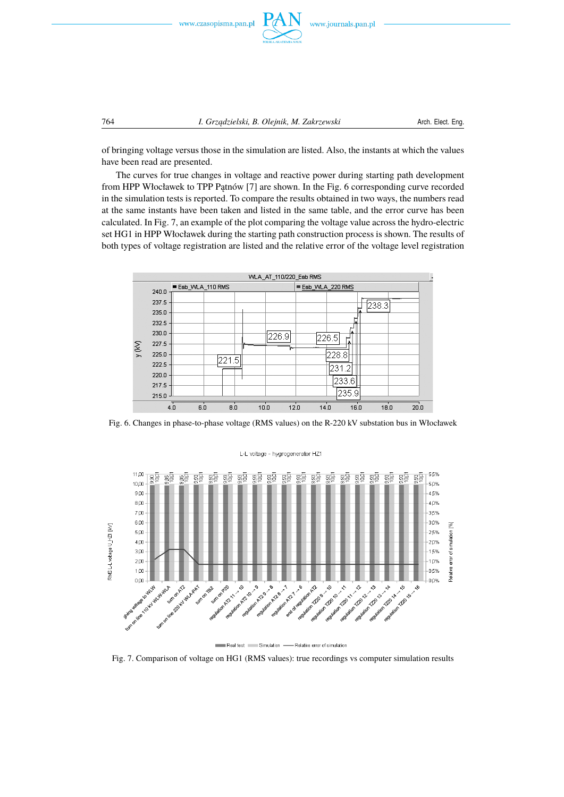

of bringing voltage versus those in the simulation are listed. Also, the instants at which the values have been read are presented.

The curves for true changes in voltage and reactive power during starting path development from HPP Włocławek to TPP Patnów [7] are shown. In the Fig. 6 corresponding curve recorded in the simulation tests is reported. To compare the results obtained in two ways, the numbers read at the same instants have been taken and listed in the same table, and the error curve has been calculated. In Fig. 7, an example of the plot comparing the voltage value across the hydro-electric set HG1 in HPP Włocławek during the starting path construction process is shown. The results of both types of voltage registration are listed and the relative error of the voltage level registration



Fig. 6. Changes in phase-to-phase voltage (RMS values) on the R-220 kV substation bus in Włocławek



Real test Simulation - Relative error of simulation

Fig. 7. Comparison of voltage on HG1 (RMS values): true recordings vs computer simulation results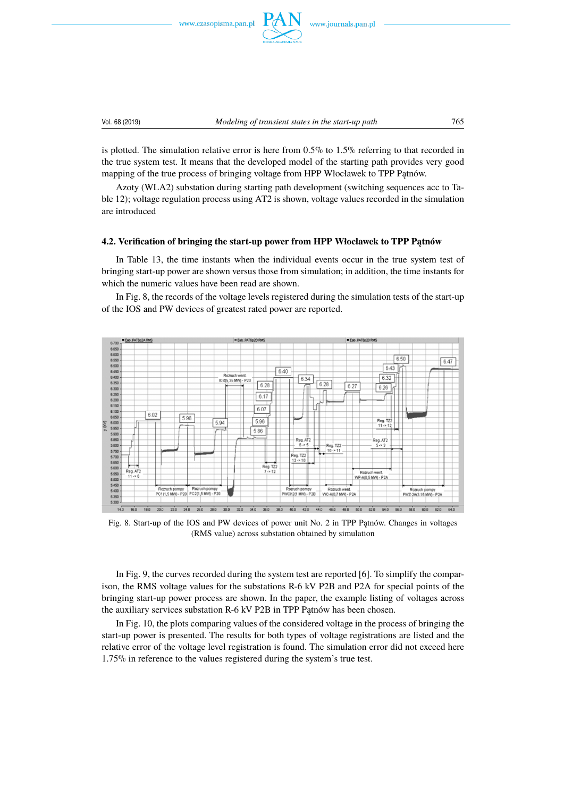www.czasopisma.pan.pl



is plotted. The simulation relative error is here from 0.5% to 1.5% referring to that recorded in the true system test. It means that the developed model of the starting path provides very good mapping of the true process of bringing voltage from HPP Włocławek to TPP Patnów.

Azoty (WLA2) substation during starting path development (switching sequences acc to Table 12); voltage regulation process using AT2 is shown, voltage values recorded in the simulation are introduced

#### **4.2. Verification of bringing the start-up power from HPP Włocławek to TPP Patnów**

In Table 13, the time instants when the individual events occur in the true system test of bringing start-up power are shown versus those from simulation; in addition, the time instants for which the numeric values have been read are shown.

In Fig. 8, the records of the voltage levels registered during the simulation tests of the start-up of the IOS and PW devices of greatest rated power are reported.



Fig. 8. Start-up of the IOS and PW devices of power unit No. 2 in TPP Patnów. Changes in voltages (RMS value) across substation obtained by simulation

In Fig. 9, the curves recorded during the system test are reported [6]. To simplify the comparison, the RMS voltage values for the substations R-6 kV P2B and P2A for special points of the bringing start-up power process are shown. In the paper, the example listing of voltages across the auxiliary services substation R-6 kV P2B in TPP Patnów has been chosen.

In Fig. 10, the plots comparing values of the considered voltage in the process of bringing the start-up power is presented. The results for both types of voltage registrations are listed and the relative error of the voltage level registration is found. The simulation error did not exceed here 1.75% in reference to the values registered during the system's true test.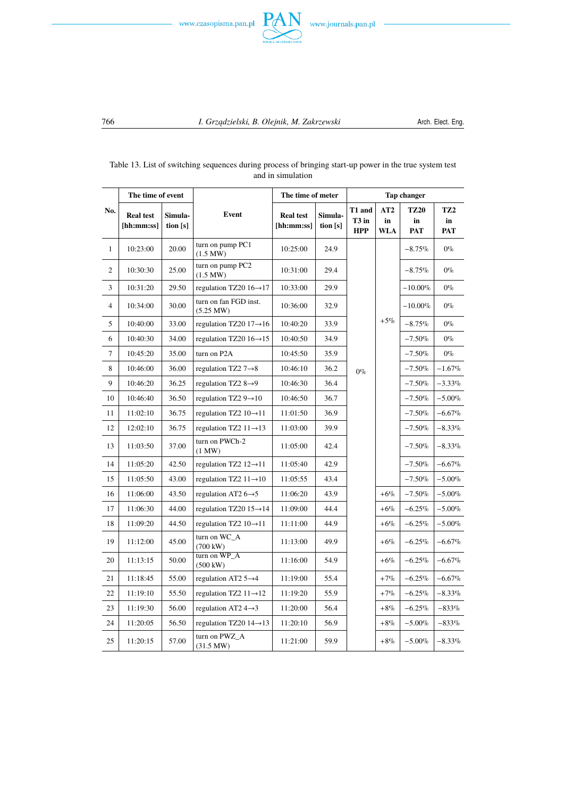



| No.          | The time of event              |                     |                                     | The time of meter              |                       | <b>Tap changer</b>            |                         |                                 |                                     |  |
|--------------|--------------------------------|---------------------|-------------------------------------|--------------------------------|-----------------------|-------------------------------|-------------------------|---------------------------------|-------------------------------------|--|
|              | <b>Real test</b><br>[hh:mm:ss] | Simula-<br>tion [s] | Event                               | <b>Real test</b><br>[hh:mm:ss] | Simula-<br>tion $[s]$ | T1 and<br>T3 in<br><b>HPP</b> | AT2<br>in<br><b>WLA</b> | <b>TZ20</b><br>in<br><b>PAT</b> | TZ <sub>2</sub><br>in<br><b>PAT</b> |  |
| $\mathbf{1}$ | 10:23:00                       | 20.00               | turn on pump PC1<br>(1.5 MW)        | 10:25:00                       | 24.9                  |                               |                         | $-8.75%$                        | $0\%$                               |  |
| 2            | 10:30:30                       | 25.00               | turn on pump PC2<br>(1.5 MW)        | 10:31:00                       | 29.4                  |                               |                         | $-8.75\%$                       | $0\%$                               |  |
| 3            | 10:31:20                       | 29.50               | regulation TZ20 16→17               | 10:33:00                       | 29.9                  |                               |                         | $-10.00\%$                      | $0\%$                               |  |
| 4            | 10:34:00                       | 30.00               | turn on fan FGD inst.<br>(5.25 MW)  | 10:36:00                       | 32.9                  |                               |                         | $-10.00\%$                      | $0\%$                               |  |
| 5            | 10:40:00                       | 33.00               | regulation TZ20 $17 \rightarrow 16$ | 10:40:20                       | 33.9                  |                               | $+5\%$                  | $-8.75%$                        | $0\%$                               |  |
| 6            | 10:40:30                       | 34.00               | regulation TZ20 $16 \rightarrow 15$ | 10:40:50                       | 34.9                  |                               |                         | $-7.50%$                        | $0\%$                               |  |
| 7            | 10:45:20                       | 35.00               | turn on P2A                         | 10:45:50                       | 35.9                  |                               |                         | $-7.50%$                        | $0\%$                               |  |
| 8            | 10:46:00                       | 36.00               | regulation TZ2 $7\rightarrow 8$     | 10:46:10                       | 36.2                  | $0\%$                         |                         | $-7.50%$                        | $-1.67%$                            |  |
| 9            | 10:46:20                       | 36.25               | regulation TZ2 $8\rightarrow 9$     | 10:46:30                       | 36.4                  |                               |                         | $-7.50%$                        | $-3.33\%$                           |  |
| 10           | 10:46:40                       | 36.50               | regulation TZ2 $9 \rightarrow 10$   | 10:46:50                       | 36.7                  |                               |                         | $-7.50%$                        | $-5.00\%$                           |  |
| 11           | 11:02:10                       | 36.75               | regulation TZ2 $10 \rightarrow 11$  | 11:01:50                       | 36.9                  |                               |                         | $-7.50%$                        | $-6.67\%$                           |  |
| 12           | 12:02:10                       | 36.75               | regulation TZ2 $11 \rightarrow 13$  | 11:03:00                       | 39.9                  |                               |                         | $-7.50%$                        | $-8.33\%$                           |  |
| 13           | 11:03:50                       | 37.00               | turn on PWCh-2<br>$(1$ MW $)$       | 11:05:00                       | 42.4                  |                               |                         | $-7.50%$                        | $-8.33\%$                           |  |
| 14           | 11:05:20                       | 42.50               | regulation TZ2 $12 \rightarrow 11$  | 11:05:40                       | 42.9                  |                               |                         | $-7.50%$                        | $-6.67\%$                           |  |
| 15           | 11:05:50                       | 43.00               | regulation TZ2 $11 \rightarrow 10$  | 11:05:55                       | 43.4                  |                               |                         | $-7.50%$                        | $-5.00\%$                           |  |
| 16           | 11:06:00                       | 43.50               | regulation AT2 $6 \rightarrow 5$    | 11:06:20                       | 43.9                  |                               | $+6%$                   | $-7.50%$                        | $-5.00\%$                           |  |
| 17           | 11:06:30                       | 44.00               | regulation TZ20 $15 \rightarrow 14$ | 11:09:00                       | 44.4                  |                               | $+6%$                   | $-6.25\%$                       | $-5.00\%$                           |  |
| 18           | 11:09:20                       | 44.50               | regulation TZ2 $10 \rightarrow 11$  | 11:11:00                       | 44.9                  |                               | $+6%$                   | $-6.25\%$                       | $-5.00\%$                           |  |
| 19           | 11:12:00                       | 45.00               | turn on WC_A<br>$(700 \text{ kW})$  | 11:13:00                       | 49.9                  |                               | $+6\%$                  | $-6.25\%$                       | $-6.67\%$                           |  |
| 20           | 11:13:15                       | 50.00               | turn on WP A<br>$(500 \text{ kW})$  | 11:16:00                       | 54.9                  |                               | $+6%$                   | $-6.25\%$                       | $-6.67\%$                           |  |
| 21           | 11:18:45                       | 55.00               | regulation AT2 5→4                  | 11:19:00                       | 55.4                  |                               | $+7%$                   | $-6.25\%$                       | $-6.67\%$                           |  |
| 22           | 11:19:10                       | 55.50               | regulation TZ2 $11 \rightarrow 12$  | 11:19:20                       | 55.9                  |                               | $+7%$                   | $-6.25\%$                       | $-8.33\%$                           |  |
| 23           | 11:19:30                       | 56.00               | regulation AT2 $4\rightarrow 3$     | 11:20:00                       | 56.4                  |                               | $+8%$                   | $-6.25\%$                       | $-833\%$                            |  |
| 24           | 11:20:05                       | 56.50               | regulation TZ20 $14 \rightarrow 13$ | 11:20:10                       | 56.9                  |                               | $+8%$                   | $-5.00\%$                       | $-833%$                             |  |
| 25           | 11:20:15                       | 57.00               | turn on PWZ_A<br>(31.5 MW)          | 11:21:00                       | 59.9                  |                               | $+8\%$                  | $-5.00\%$                       | $-8.33\%$                           |  |

## Table 13. List of switching sequences during process of bringing start-up power in the true system test and in simulation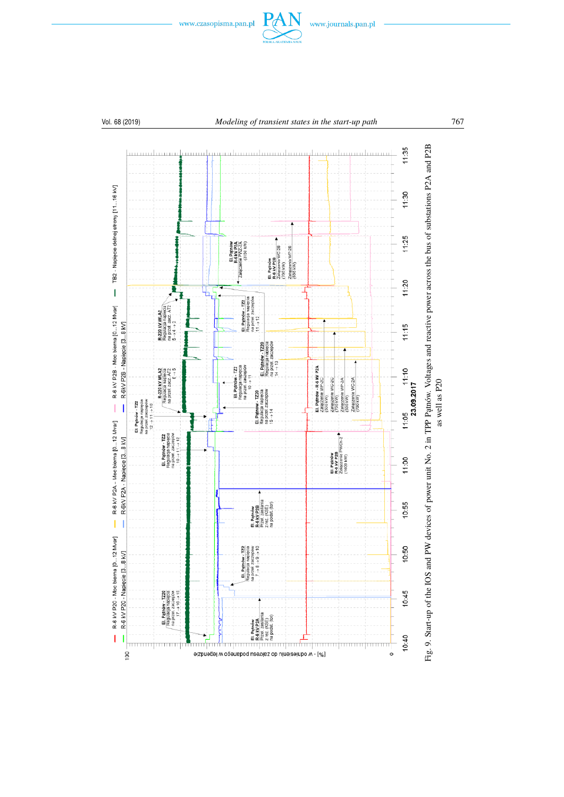

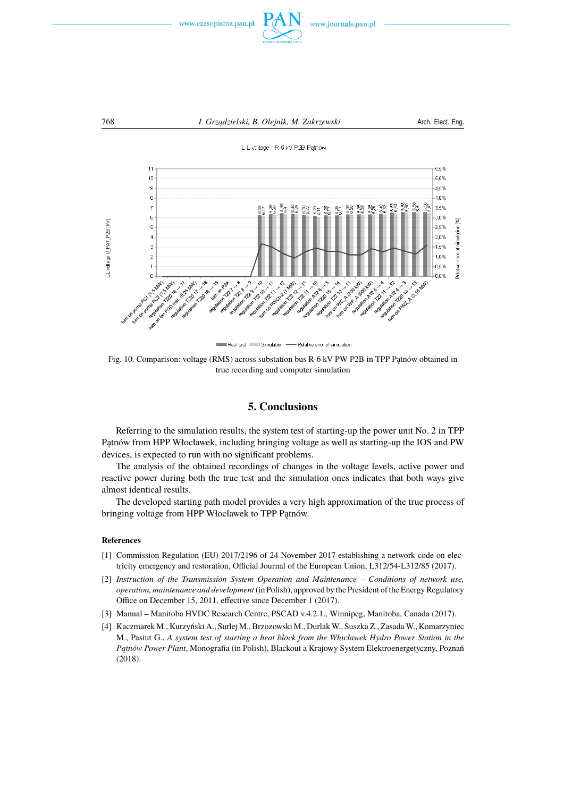



Real test Simulation - Relative error of simulation

Fig. 10. Comparison: voltage (RMS) across substation bus R-6 kV PW P2B in TPP Patnów obtained in true recording and computer simulation

## **5. Conclusions**

Referring to the simulation results, the system test of starting-up the power unit No. 2 in TPP Patnów from HPP Włocławek, including bringing voltage as well as starting-up the IOS and PW devices, is expected to run with no significant problems.

The analysis of the obtained recordings of changes in the voltage levels, active power and reactive power during both the true test and the simulation ones indicates that both ways give almost identical results.

The developed starting path model provides a very high approximation of the true process of bringing voltage from HPP Włocławek to TPP Patnów.

#### **References**

- [1] Commission Regulation (EU) 2017/2196 of 24 November 2017 establishing a network code on electricity emergency and restoration, Official Journal of the European Union, L312/54-L312/85 (2017).
- [2] *Instruction of the Transmission System Operation and Maintenance Conditions of network use, operation, maintenance and development* (in Polish), approved by the President of the Energy Regulatory Office on December 15, 2011, effective since December 1 (2017).
- [3] Manual Manitoba HVDC Research Centre, PSCAD v.4.2.1., Winnipeg, Manitoba, Canada (2017).
- [4] Kaczmarek M., Kurzyński A., Surlej M., Brzozowski M., DurlakW., Suszka Z., ZasadaW., Komarzyniec M., Pasiut G., *A system test of starting a heat block from the Włocławek Hydro Power Station in the P ˛atnów Power Plant*, Monografia (in Polish), Blackout a Krajowy System Elektroenergetyczny, Poznań (2018).